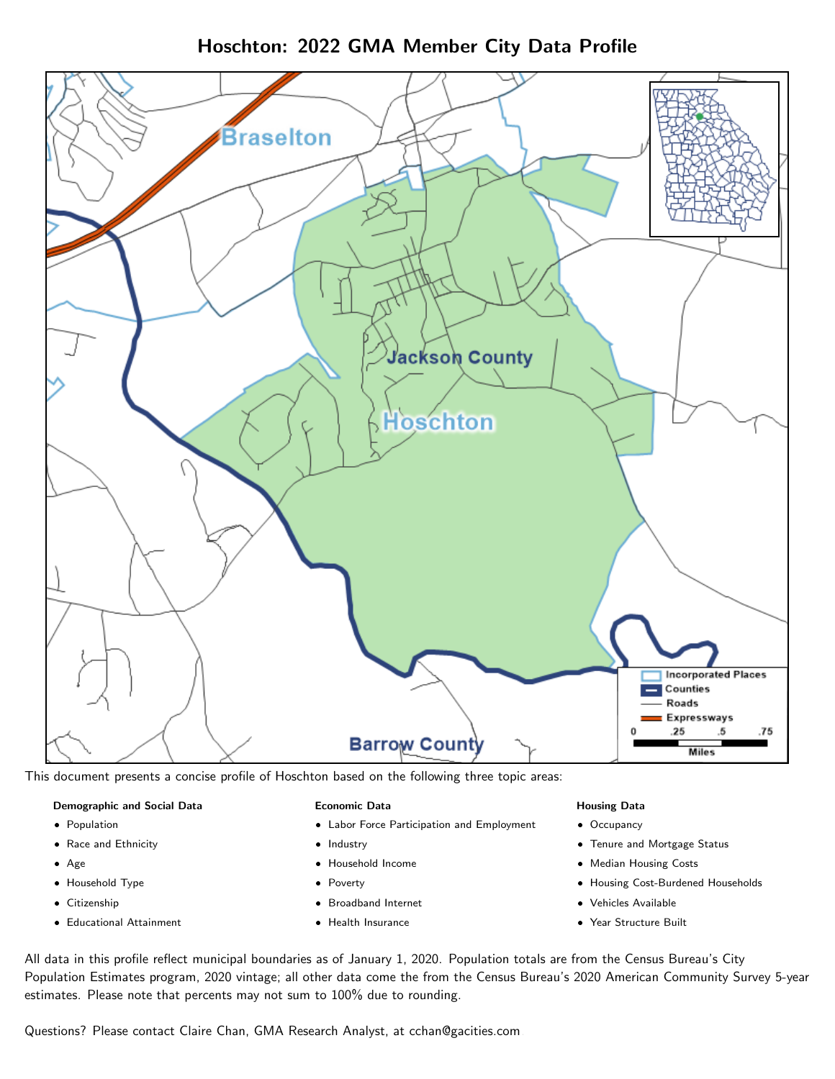Hoschton: 2022 GMA Member City Data Profile



This document presents a concise profile of Hoschton based on the following three topic areas:

### Demographic and Social Data

- **•** Population
- Race and Ethnicity
- Age
- Household Type
- **Citizenship**
- Educational Attainment

### Economic Data

- Labor Force Participation and Employment
- Industry
- Household Income
- Poverty
- Broadband Internet
- Health Insurance

### Housing Data

- Occupancy
- Tenure and Mortgage Status
- Median Housing Costs
- Housing Cost-Burdened Households
- Vehicles Available
- Year Structure Built

All data in this profile reflect municipal boundaries as of January 1, 2020. Population totals are from the Census Bureau's City Population Estimates program, 2020 vintage; all other data come the from the Census Bureau's 2020 American Community Survey 5-year estimates. Please note that percents may not sum to 100% due to rounding.

Questions? Please contact Claire Chan, GMA Research Analyst, at [cchan@gacities.com.](mailto:cchan@gacities.com)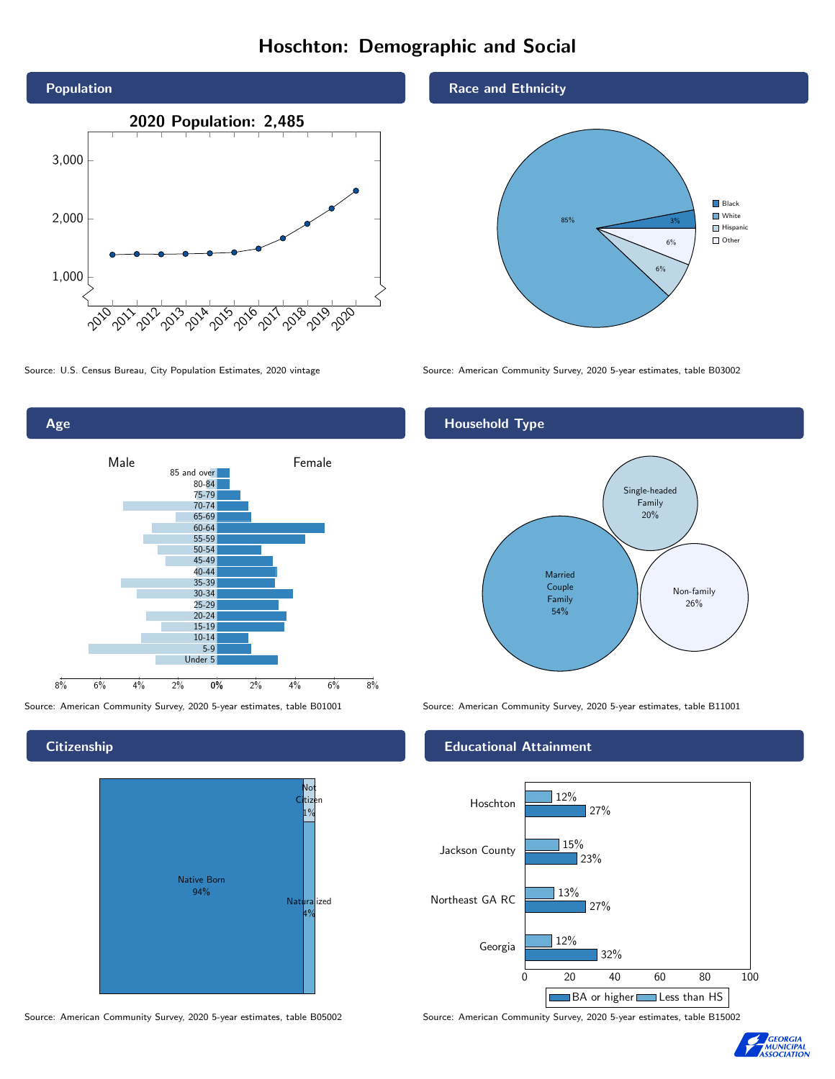# Hoschton: Demographic and Social



Age 0% 2% 4% 6% 8% Male **Female** 8% 6% 4% 2% 85 and over 80-84 75-79 70-74 65-69 60-64 55-59 50-54 45-49 40-44 35-39 30-34 25-29 20-24 15-19 10-14 5-9 Under 5

**Citizenship** 



Source: American Community Survey, 2020 5-year estimates, table B05002 Source: American Community Survey, 2020 5-year estimates, table B15002

Race and Ethnicity



Source: U.S. Census Bureau, City Population Estimates, 2020 vintage Source: American Community Survey, 2020 5-year estimates, table B03002

# Household Type



Source: American Community Survey, 2020 5-year estimates, table B01001 Source: American Community Survey, 2020 5-year estimates, table B11001

### Educational Attainment



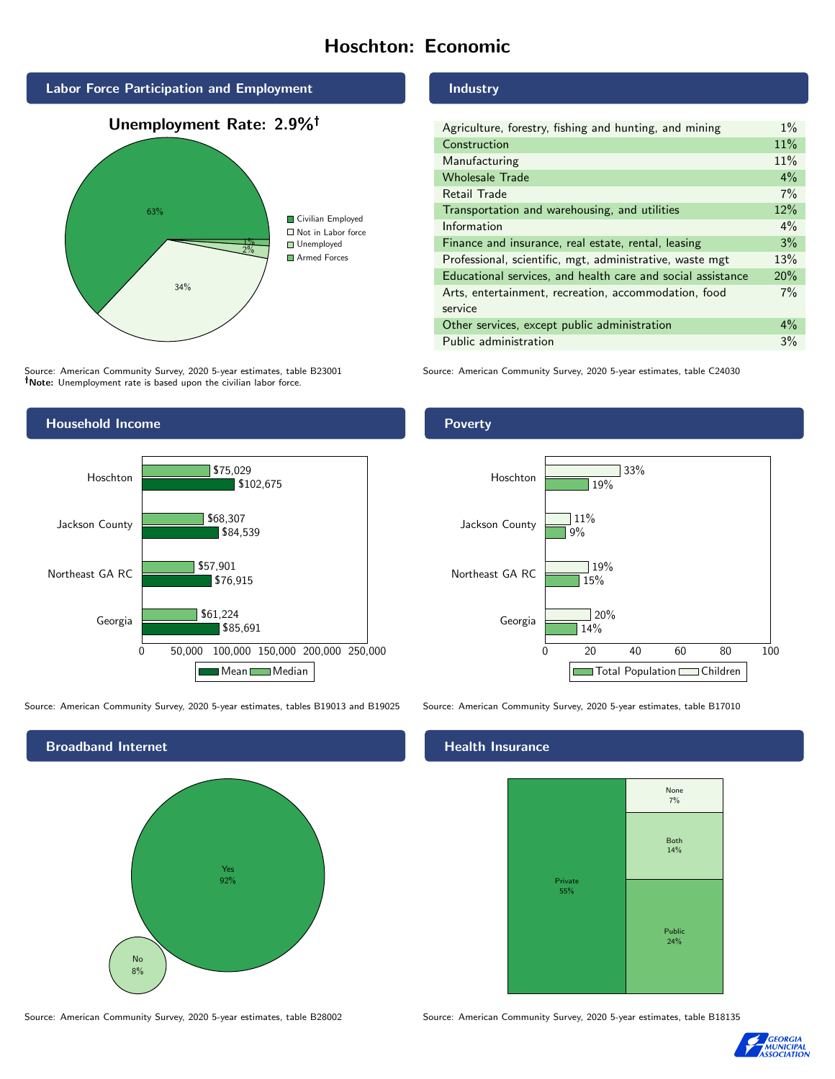# Hoschton: Economic



Source: American Community Survey, 2020 5-year estimates, table B23001 Note: Unemployment rate is based upon the civilian labor force.

# Industry

| Agriculture, forestry, fishing and hunting, and mining      | $1\%$ |
|-------------------------------------------------------------|-------|
| Construction                                                | 11%   |
| Manufacturing                                               | 11%   |
| <b>Wholesale Trade</b>                                      | $4\%$ |
| Retail Trade                                                | 7%    |
| Transportation and warehousing, and utilities               | 12%   |
| Information                                                 | $4\%$ |
| Finance and insurance, real estate, rental, leasing         | 3%    |
| Professional, scientific, mgt, administrative, waste mgt    | 13%   |
| Educational services, and health care and social assistance | 20%   |
| Arts, entertainment, recreation, accommodation, food        | $7\%$ |
| service                                                     |       |
| Other services, except public administration                | $4\%$ |
| Public administration                                       | 3%    |

Source: American Community Survey, 2020 5-year estimates, table C24030



Source: American Community Survey, 2020 5-year estimates, tables B19013 and B19025 Source: American Community Survey, 2020 5-year estimates, table B17010





### Health Insurance



Source: American Community Survey, 2020 5-year estimates, table B28002 Source: American Community Survey, 2020 5-year estimates, table B18135